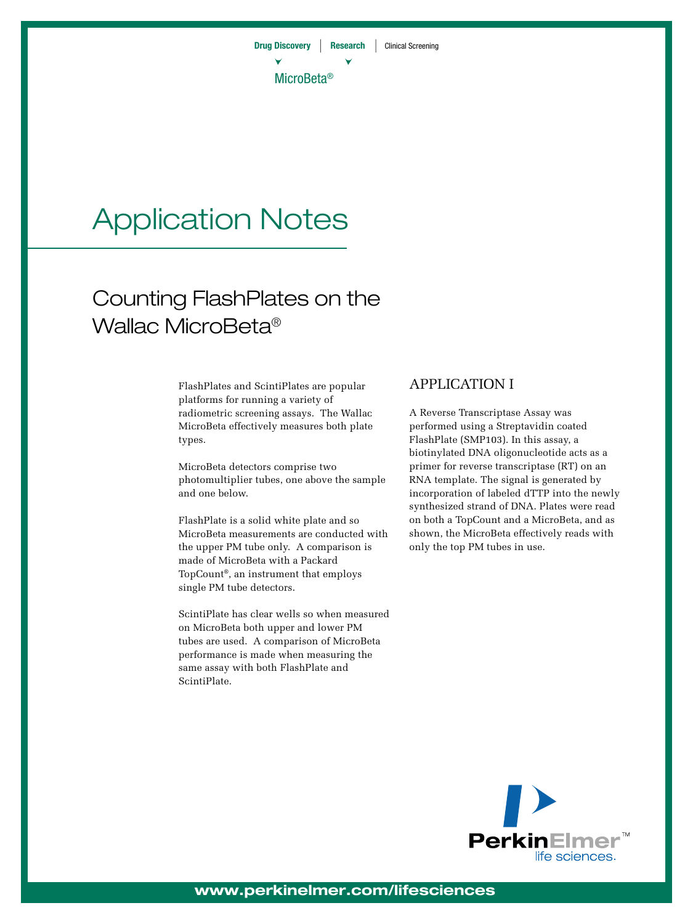# Application Notes

## Counting FlashPlates on the Wallac MicroBeta®

FlashPlates and ScintiPlates are popular platforms for running a variety of radiometric screening assays. The Wallac MicroBeta effectively measures both plate types.

MicroBeta detectors comprise two photomultiplier tubes, one above the sample and one below.

FlashPlate is a solid white plate and so MicroBeta measurements are conducted with the upper PM tube only. A comparison is made of MicroBeta with a Packard TopCount®, an instrument that employs single PM tube detectors.

ScintiPlate has clear wells so when measured on MicroBeta both upper and lower PM tubes are used. A comparison of MicroBeta performance is made when measuring the same assay with both FlashPlate and ScintiPlate.

### APPLICATION I

A Reverse Transcriptase Assay was performed using a Streptavidin coated FlashPlate (SMP103). In this assay, a biotinylated DNA oligonucleotide acts as a primer for reverse transcriptase (RT) on an RNA template. The signal is generated by incorporation of labeled dTTP into the newly synthesized strand of DNA. Plates were read on both a TopCount and a MicroBeta, and as shown, the MicroBeta effectively reads with only the top PM tubes in use.



**www.perkinelmer.com/lifesciences**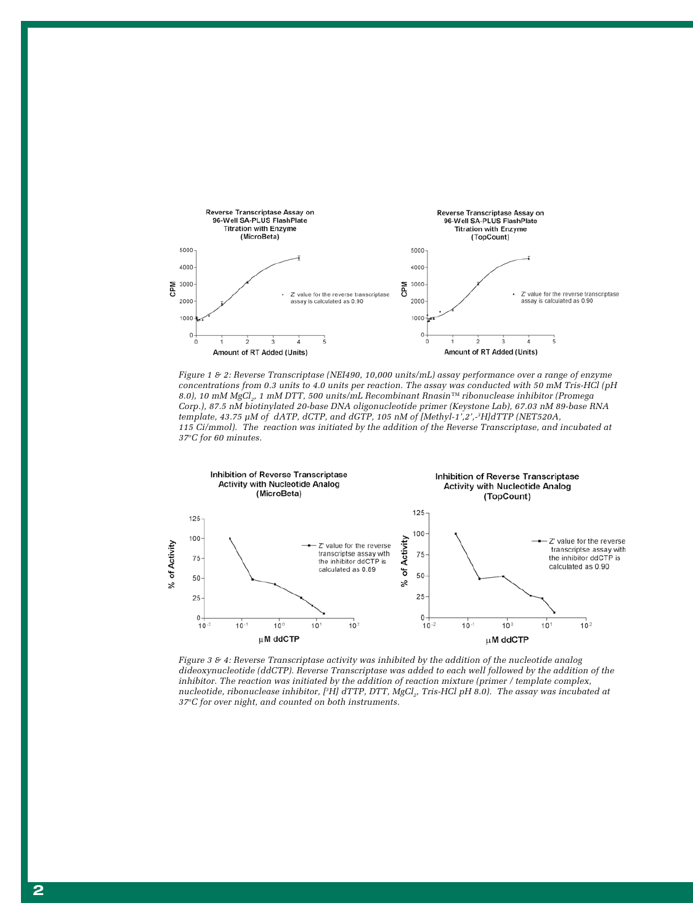

*Figure 1 & 2: Reverse Transcriptase (NEI490, 10,000 units/mL) assay performance over a range of enzyme concentrations from 0.3 units to 4.0 units per reaction. The assay was conducted with 50 mM Tris-HCl (pH 8.0), 10 mM MgCl2, 1 mM DTT, 500 units/mL Recombinant Rnasin™ ribonuclease inhibitor (Promega Corp.), 87.5 nM biotinylated 20-base DNA oligonucleotide primer (Keystone Lab), 67.03 nM 89-base RNA template, 43.75 µM of dATP, dCTP, and dGTP, 105 nM of [Methyl-1',2',-3H]dTTP (NET520A, 115 Ci/mmol). The reaction was initiated by the addition of the Reverse Transcriptase, and incubated at 37o C for 60 minutes.*



*Figure 3 & 4: Reverse Transcriptase activity was inhibited by the addition of the nucleotide analog dideoxynucleotide (ddCTP). Reverse Transcriptase was added to each well followed by the addition of the inhibitor. The reaction was initiated by the addition of reaction mixture (primer / template complex, nucleotide, ribonuclease inhibitor, [<sup>3</sup>H] dTTP, DTT, MgCl<sub>2</sub>, Tris-HCl pH 8.0). The assay was incubated at 37oC for over night, and counted on both instruments.*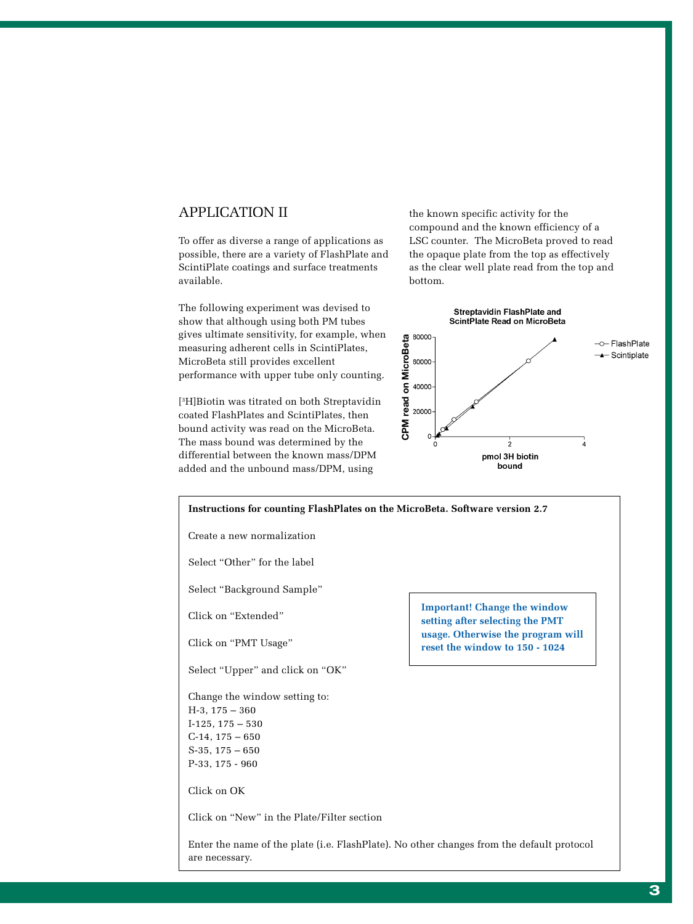#### APPLICATION II

To offer as diverse a range of applications as possible, there are a variety of FlashPlate and ScintiPlate coatings and surface treatments available.

The following experiment was devised to show that although using both PM tubes gives ultimate sensitivity, for example, when measuring adherent cells in ScintiPlates, MicroBeta still provides excellent performance with upper tube only counting.

[3 H]Biotin was titrated on both Streptavidin coated FlashPlates and ScintiPlates, then bound activity was read on the MicroBeta. The mass bound was determined by the differential between the known mass/DPM added and the unbound mass/DPM, using

the known specific activity for the compound and the known efficiency of a LSC counter. The MicroBeta proved to read the opaque plate from the top as effectively as the clear well plate read from the top and bottom.



| Instructions for counting FlashPlates on the MicroBeta. Software version 2.7 |                                                                                           |
|------------------------------------------------------------------------------|-------------------------------------------------------------------------------------------|
| Create a new normalization                                                   |                                                                                           |
| Select "Other" for the label                                                 |                                                                                           |
| Select "Background Sample"                                                   |                                                                                           |
| Click on "Extended"                                                          | <b>Important! Change the window</b><br>setting after selecting the PMT                    |
| Click on "PMT Usage"                                                         | usage. Otherwise the program will<br>reset the window to 150 - 1024                       |
| Select "Upper" and click on "OK"                                             |                                                                                           |
| Change the window setting to:                                                |                                                                                           |
| $H-3$ , $175-360$                                                            |                                                                                           |
| $I-125, 175-530$                                                             |                                                                                           |
| $C-14$ , $175-650$                                                           |                                                                                           |
| $S-35, 175-650$                                                              |                                                                                           |
| $P-33, 175 - 960$                                                            |                                                                                           |
| Click on OK                                                                  |                                                                                           |
| Click on "New" in the Plate/Filter section                                   |                                                                                           |
| are necessary.                                                               | Enter the name of the plate (i.e. FlashPlate). No other changes from the default protocol |